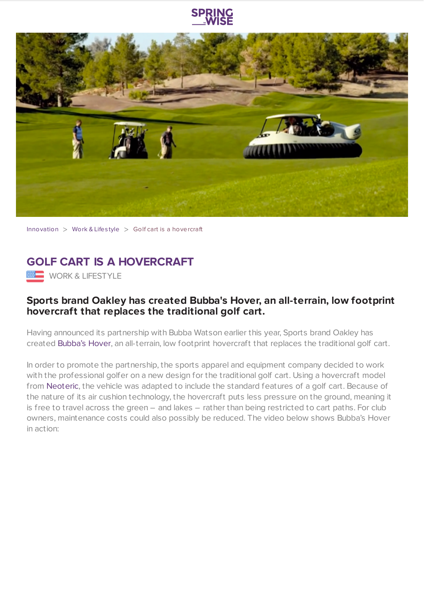



[Innovation](https://www.springwise.com/search?type=innovation)  $>$  [Work](https://www.springwise.com/search?type=innovation§or=work-lifestyle) & Lifestyle  $>$  Golf cart is a hovercraft



## **Sports brand Oakley has created Bubba's Hover, an all-terrain, low footprint hovercraft that replaces the traditional golf cart.**

Having announced its partnership with Bubba Watson earlier this year, Sports brand Oakley has created [Bubba's](http://www.oakley.com/sports/golf/albums/2233) Hover, an all-terrain, low footprint hovercraft that replaces the traditional golf cart.

In order to promote the partnership, the sports apparel and equipment company decided to work with the professional golfer on a new design for the traditional golf cart. Using a hovercraft model from [Neoteric](http://neoterichovercraft.com/), the vehicle was adapted to include the standard features of a golf cart. Because of the nature of its air cushion technology, the hovercraft puts less pressure on the ground, meaning it is free to travel across the green – and lakes – rather than being restricted to cart paths. For club owners, maintenance costs could also possibly be reduced. The video below shows Bubba's Hover in action: